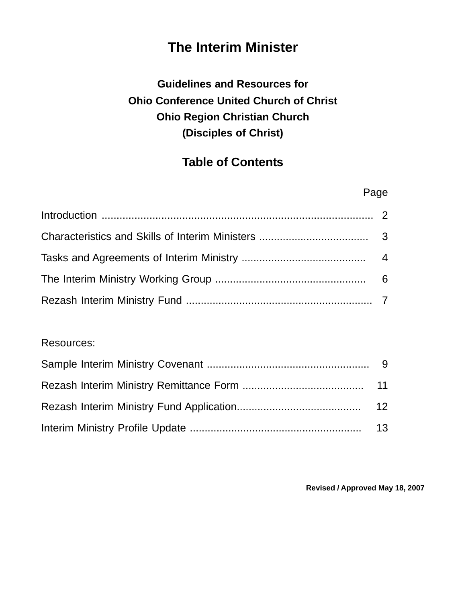# **The Interim Minister**

# **Guidelines and Resources for Ohio Conference United Church of Christ Ohio Region Christian Church (Disciples of Christ)**

# **Table of Contents**

| Page |  |
|------|--|
|      |  |
|      |  |
|      |  |
|      |  |
|      |  |

### Resources: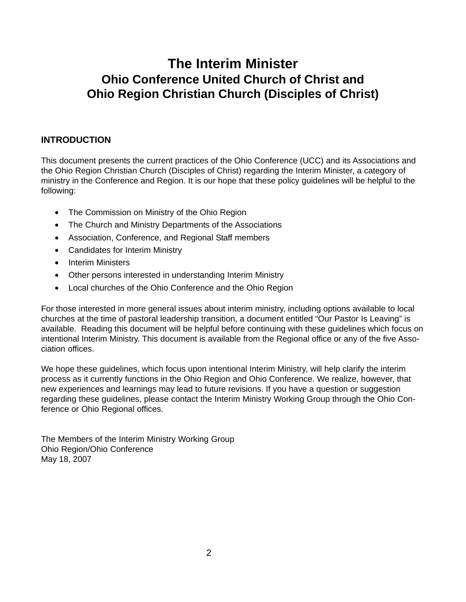## **The Interim Minister Ohio Conference United Church of Christ and Ohio Region Christian Church (Disciples of Christ)**

#### **INTRODUCTION**

This document presents the current practices of the Ohio Conference (UCC) and its Associations and the Ohio Region Christian Church (Disciples of Christ) regarding the Interim Minister, a category of ministry in the Conference and Region. It is our hope that these policy guidelines will be helpful to the following:

- The Commission on Ministry of the Ohio Region
- The Church and Ministry Departments of the Associations
- Association, Conference, and Regional Staff members
- Candidates for Interim Ministry
- Interim Ministers
- Other persons interested in understanding Interim Ministry
- Local churches of the Ohio Conference and the Ohio Region

For those interested in more general issues about interim ministry, including options available to local churches at the time of pastoral leadership transition, a document entitled "Our Pastor Is Leaving" is available. Reading this document will be helpful before continuing with these guidelines which focus on intentional Interim Ministry. This document is available from the Regional office or any of the five Association offices.

We hope these guidelines, which focus upon intentional Interim Ministry, will help clarify the interim process as it currently functions in the Ohio Region and Ohio Conference. We realize, however, that new experiences and learnings may lead to future revisions. If you have a question or suggestion regarding these guidelines, please contact the Interim Ministry Working Group through the Ohio Conference or Ohio Regional offices.

The Members of the Interim Ministry Working Group Ohio Region/Ohio Conference May 18, 2007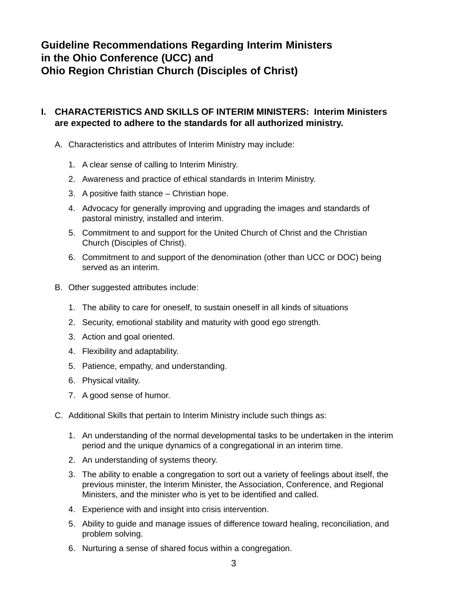### **Guideline Recommendations Regarding Interim Ministers in the Ohio Conference (UCC) and Ohio Region Christian Church (Disciples of Christ)**

#### **I. CHARACTERISTICS AND SKILLS OF INTERIM MINISTERS: Interim Ministers are expected to adhere to the standards for all authorized ministry.**

- A. Characteristics and attributes of Interim Ministry may include:
	- 1. A clear sense of calling to Interim Ministry.
	- 2. Awareness and practice of ethical standards in Interim Ministry.
	- 3. A positive faith stance Christian hope.
	- 4. Advocacy for generally improving and upgrading the images and standards of pastoral ministry, installed and interim.
	- 5. Commitment to and support for the United Church of Christ and the Christian Church (Disciples of Christ).
	- 6. Commitment to and support of the denomination (other than UCC or DOC) being served as an interim.
- B. Other suggested attributes include:
	- 1. The ability to care for oneself, to sustain oneself in all kinds of situations
	- 2. Security, emotional stability and maturity with good ego strength.
	- 3. Action and goal oriented.
	- 4. Flexibility and adaptability.
	- 5. Patience, empathy, and understanding.
	- 6. Physical vitality.
	- 7. A good sense of humor.
- C. Additional Skills that pertain to Interim Ministry include such things as:
	- 1. An understanding of the normal developmental tasks to be undertaken in the interim period and the unique dynamics of a congregational in an interim time.
	- 2. An understanding of systems theory.
	- 3. The ability to enable a congregation to sort out a variety of feelings about itself, the previous minister, the Interim Minister, the Association, Conference, and Regional Ministers, and the minister who is yet to be identified and called.
	- 4. Experience with and insight into crisis intervention.
	- 5. Ability to guide and manage issues of difference toward healing, reconciliation, and problem solving.
	- 6. Nurturing a sense of shared focus within a congregation.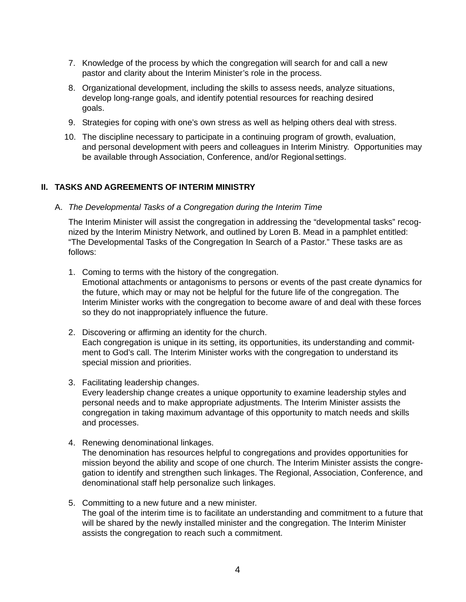- 7. Knowledge of the process by which the congregation will search for and call a new pastor and clarity about the Interim Minister's role in the process.
- 8. Organizational development, including the skills to assess needs, analyze situations, develop long-range goals, and identify potential resources for reaching desired goals.
- 9. Strategies for coping with one's own stress as well as helping others deal with stress.
- 10. The discipline necessary to participate in a continuing program of growth, evaluation, and personal development with peers and colleagues in Interim Ministry. Opportunities may be available through Association, Conference, and/or Regionalsettings.

#### **II. TASKS AND AGREEMENTS OF INTERIM MINISTRY**

A. *The Developmental Tasks of a Congregation during the Interim Time*

The Interim Minister will assist the congregation in addressing the "developmental tasks" recognized by the Interim Ministry Network, and outlined by Loren B. Mead in a pamphlet entitled: "The Developmental Tasks of the Congregation In Search of a Pastor." These tasks are as follows:

1. Coming to terms with the history of the congregation. Emotional attachments or antagonisms to persons or events of the past create dynamics for

the future, which may or may not be helpful for the future life of the congregation. The Interim Minister works with the congregation to become aware of and deal with these forces so they do not inappropriately influence the future.

- 2. Discovering or affirming an identity for the church. Each congregation is unique in its setting, its opportunities, its understanding and commitment to God's call. The Interim Minister works with the congregation to understand its special mission and priorities.
- 3. Facilitating leadership changes.

Every leadership change creates a unique opportunity to examine leadership styles and personal needs and to make appropriate adjustments. The Interim Minister assists the congregation in taking maximum advantage of this opportunity to match needs and skills and processes.

4. Renewing denominational linkages.

The denomination has resources helpful to congregations and provides opportunities for mission beyond the ability and scope of one church. The Interim Minister assists the congregation to identify and strengthen such linkages. The Regional, Association, Conference, and denominational staff help personalize such linkages.

5. Committing to a new future and a new minister. The goal of the interim time is to facilitate an understanding and commitment to a future that will be shared by the newly installed minister and the congregation. The Interim Minister assists the congregation to reach such a commitment.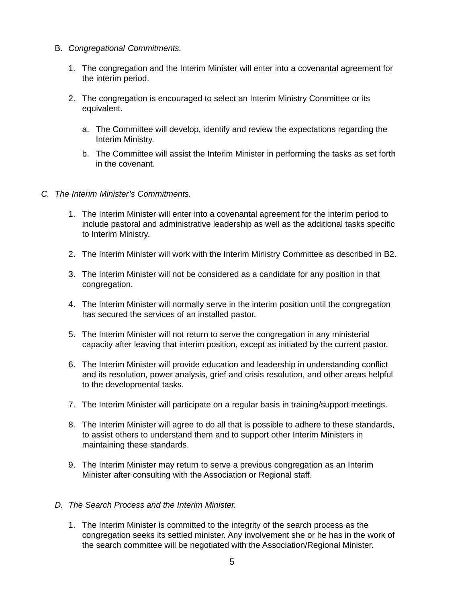- B. *Congregational Commitments.*
	- 1. The congregation and the Interim Minister will enter into a covenantal agreement for the interim period.
	- 2. The congregation is encouraged to select an Interim Ministry Committee or its equivalent.
		- a. The Committee will develop, identify and review the expectations regarding the Interim Ministry.
		- b. The Committee will assist the Interim Minister in performing the tasks as set forth in the covenant.
- *C. The Interim Minister's Commitments.*
	- 1. The Interim Minister will enter into a covenantal agreement for the interim period to include pastoral and administrative leadership as well as the additional tasks specific to Interim Ministry.
	- 2. The Interim Minister will work with the Interim Ministry Committee as described in B2.
	- 3. The Interim Minister will not be considered as a candidate for any position in that congregation.
	- 4. The Interim Minister will normally serve in the interim position until the congregation has secured the services of an installed pastor.
	- 5. The Interim Minister will not return to serve the congregation in any ministerial capacity after leaving that interim position, except as initiated by the current pastor.
	- 6. The Interim Minister will provide education and leadership in understanding conflict and its resolution, power analysis, grief and crisis resolution, and other areas helpful to the developmental tasks.
	- 7. The Interim Minister will participate on a regular basis in training/support meetings.
	- 8. The Interim Minister will agree to do all that is possible to adhere to these standards, to assist others to understand them and to support other Interim Ministers in maintaining these standards.
	- 9. The Interim Minister may return to serve a previous congregation as an Interim Minister after consulting with the Association or Regional staff.

#### *D. The Search Process and the Interim Minister.*

1. The Interim Minister is committed to the integrity of the search process as the congregation seeks its settled minister. Any involvement she or he has in the work of the search committee will be negotiated with the Association/Regional Minister.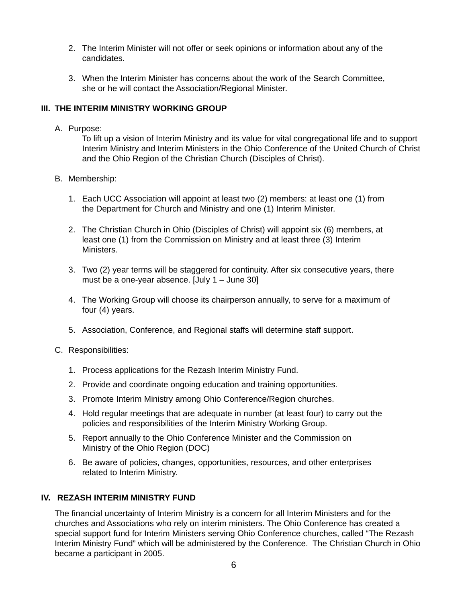- 2. The Interim Minister will not offer or seek opinions or information about any of the candidates.
- 3. When the Interim Minister has concerns about the work of the Search Committee, she or he will contact the Association/Regional Minister.

#### **III. THE INTERIM MINISTRY WORKING GROUP**

A. Purpose:

To lift up a vision of Interim Ministry and its value for vital congregational life and to support Interim Ministry and Interim Ministers in the Ohio Conference of the United Church of Christ and the Ohio Region of the Christian Church (Disciples of Christ).

- B. Membership:
	- 1. Each UCC Association will appoint at least two (2) members: at least one (1) from the Department for Church and Ministry and one (1) Interim Minister.
	- 2. The Christian Church in Ohio (Disciples of Christ) will appoint six (6) members, at least one (1) from the Commission on Ministry and at least three (3) Interim Ministers.
	- 3. Two (2) year terms will be staggered for continuity. After six consecutive years, there must be a one-year absence. [July 1 – June 30]
	- 4. The Working Group will choose its chairperson annually, to serve for a maximum of four (4) years.
	- 5. Association, Conference, and Regional staffs will determine staff support.
- C. Responsibilities:
	- 1. Process applications for the Rezash Interim Ministry Fund.
	- 2. Provide and coordinate ongoing education and training opportunities.
	- 3. Promote Interim Ministry among Ohio Conference/Region churches.
	- 4. Hold regular meetings that are adequate in number (at least four) to carry out the policies and responsibilities of the Interim Ministry Working Group.
	- 5. Report annually to the Ohio Conference Minister and the Commission on Ministry of the Ohio Region (DOC)
	- 6. Be aware of policies, changes, opportunities, resources, and other enterprises related to Interim Ministry.

#### **IV. REZASH INTERIM MINISTRY FUND**

The financial uncertainty of Interim Ministry is a concern for all Interim Ministers and for the churches and Associations who rely on interim ministers. The Ohio Conference has created a special support fund for Interim Ministers serving Ohio Conference churches, called "The Rezash Interim Ministry Fund" which will be administered by the Conference. The Christian Church in Ohio became a participant in 2005.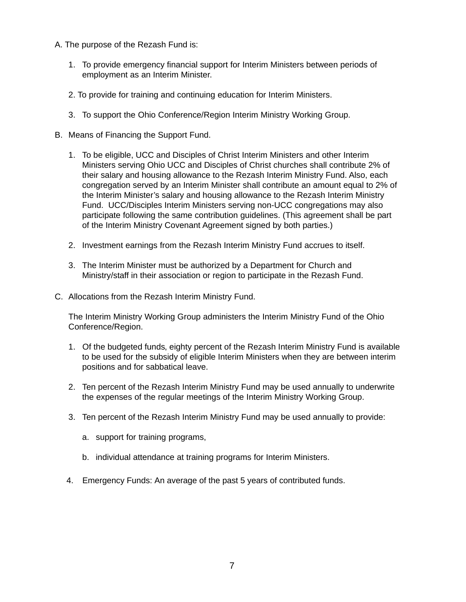- A. The purpose of the Rezash Fund is:
	- 1. To provide emergency financial support for Interim Ministers between periods of employment as an Interim Minister.
	- 2. To provide for training and continuing education for Interim Ministers.
	- 3. To support the Ohio Conference/Region Interim Ministry Working Group.
- B. Means of Financing the Support Fund.
	- 1. To be eligible, UCC and Disciples of Christ Interim Ministers and other Interim Ministers serving Ohio UCC and Disciples of Christ churches shall contribute 2% of their salary and housing allowance to the Rezash Interim Ministry Fund. Also, each congregation served by an Interim Minister shall contribute an amount equal to 2% of the Interim Minister's salary and housing allowance to the Rezash Interim Ministry Fund. UCC/Disciples Interim Ministers serving non-UCC congregations may also participate following the same contribution guidelines. (This agreement shall be part of the Interim Ministry Covenant Agreement signed by both parties.)
	- 2. Investment earnings from the Rezash Interim Ministry Fund accrues to itself.
	- 3. The Interim Minister must be authorized by a Department for Church and Ministry/staff in their association or region to participate in the Rezash Fund.
- C. Allocations from the Rezash Interim Ministry Fund.

The Interim Ministry Working Group administers the Interim Ministry Fund of the Ohio Conference/Region.

- 1. Of the budgeted funds, eighty percent of the Rezash Interim Ministry Fund is available to be used for the subsidy of eligible Interim Ministers when they are between interim positions and for sabbatical leave.
- 2. Ten percent of the Rezash Interim Ministry Fund may be used annually to underwrite the expenses of the regular meetings of the Interim Ministry Working Group.
- 3. Ten percent of the Rezash Interim Ministry Fund may be used annually to provide:
	- a. support for training programs,
	- b. individual attendance at training programs for Interim Ministers.
- 4. Emergency Funds: An average of the past 5 years of contributed funds.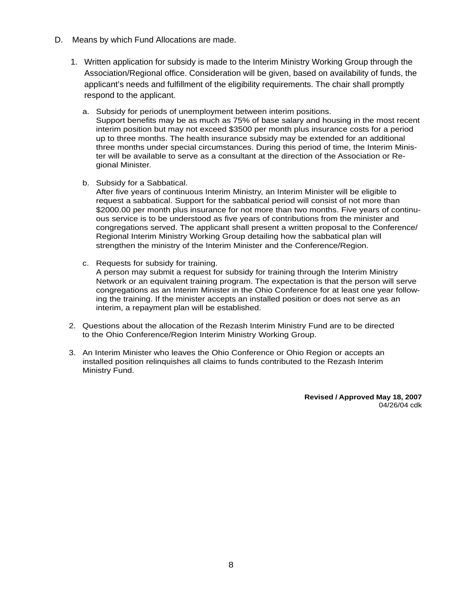- D. Means by which Fund Allocations are made.
	- 1. Written application for subsidy is made to the Interim Ministry Working Group through the Association/Regional office. Consideration will be given, based on availability of funds, the applicant's needs and fulfillment of the eligibility requirements. The chair shall promptly respond to the applicant.
		- a. Subsidy for periods of unemployment between interim positions. Support benefits may be as much as 75% of base salary and housing in the most recent interim position but may not exceed \$3500 per month plus insurance costs for a period up to three months. The health insurance subsidy may be extended for an additional three months under special circumstances. During this period of time, the Interim Minister will be available to serve as a consultant at the direction of the Association or Regional Minister.
		- b. Subsidy for a Sabbatical.

After five years of continuous Interim Ministry, an Interim Minister will be eligible to request a sabbatical. Support for the sabbatical period will consist of not more than \$2000.00 per month plus insurance for not more than two months. Five years of continuous service is to be understood as five years of contributions from the minister and congregations served. The applicant shall present a written proposal to the Conference/ Regional Interim Ministry Working Group detailing how the sabbatical plan will strengthen the ministry of the Interim Minister and the Conference/Region.

- c. Requests for subsidy for training. A person may submit a request for subsidy for training through the Interim Ministry Network or an equivalent training program. The expectation is that the person will serve congregations as an Interim Minister in the Ohio Conference for at least one year following the training. If the minister accepts an installed position or does not serve as an interim, a repayment plan will be established.
- 2. Questions about the allocation of the Rezash Interim Ministry Fund are to be directed to the Ohio Conference/Region Interim Ministry Working Group.
- 3. An Interim Minister who leaves the Ohio Conference or Ohio Region or accepts an installed position relinquishes all claims to funds contributed to the Rezash Interim Ministry Fund.

**Revised / Approved May 18, 2007** 04/26/04 cdk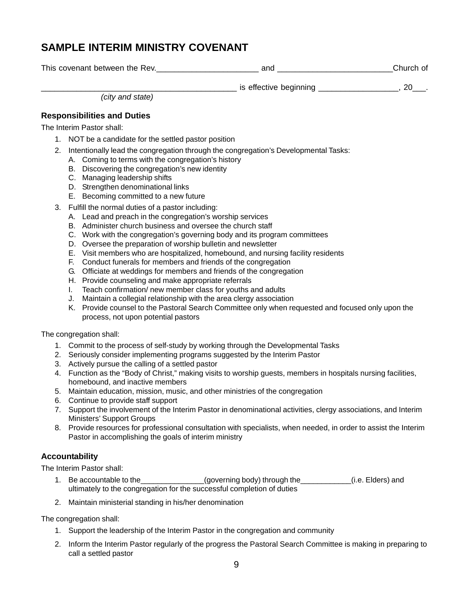## **SAMPLE INTERIM MINISTRY COVENANT**

| This covenant between the Rev. | and                    | Church of |
|--------------------------------|------------------------|-----------|
|                                | is effective beginning |           |

*(city and state)*

#### **Responsibilities and Duties**

The Interim Pastor shall:

- 1. NOT be a candidate for the settled pastor position
- 2. Intentionally lead the congregation through the congregation's Developmental Tasks:
	- A. Coming to terms with the congregation's history
	- B. Discovering the congregation's new identity
	- C. Managing leadership shifts
	- D. Strengthen denominational links
	- E. Becoming committed to a new future
- 3. Fulfill the normal duties of a pastor including:
	- A. Lead and preach in the congregation's worship services
	- B. Administer church business and oversee the church staff
	- C. Work with the congregation's governing body and its program committees
	- D. Oversee the preparation of worship bulletin and newsletter
	- E. Visit members who are hospitalized, homebound, and nursing facility residents
	- F. Conduct funerals for members and friends of the congregation
	- G. Officiate at weddings for members and friends of the congregation
	- H. Provide counseling and make appropriate referrals
	- I. Teach confirmation/ new member class for youths and adults
	- J. Maintain a collegial relationship with the area clergy association
	- K. Provide counsel to the Pastoral Search Committee only when requested and focused only upon the process, not upon potential pastors

The congregation shall:

- 1. Commit to the process of self-study by working through the Developmental Tasks
- 2. Seriously consider implementing programs suggested by the Interim Pastor
- 3. Actively pursue the calling of a settled pastor
- 4. Function as the "Body of Christ," making visits to worship guests, members in hospitals nursing facilities, homebound, and inactive members
- 5. Maintain education, mission, music, and other ministries of the congregation
- 6. Continue to provide staff support
- 7. Support the involvement of the Interim Pastor in denominational activities, clergy associations, and Interim Ministers' Support Groups
- 8. Provide resources for professional consultation with specialists, when needed, in order to assist the Interim Pastor in accomplishing the goals of interim ministry

#### **Accountability**

The Interim Pastor shall:

- 1. Be accountable to the\_\_\_\_\_\_\_\_\_\_\_\_\_\_(governing body) through the\_\_\_\_\_\_\_\_\_\_(i.e. Elders) and ultimately to the congregation for the successful completion of duties
- 2. Maintain ministerial standing in his/her denomination

The congregation shall:

- 1. Support the leadership of the Interim Pastor in the congregation and community
- 2. Inform the Interim Pastor regularly of the progress the Pastoral Search Committee is making in preparing to call a settled pastor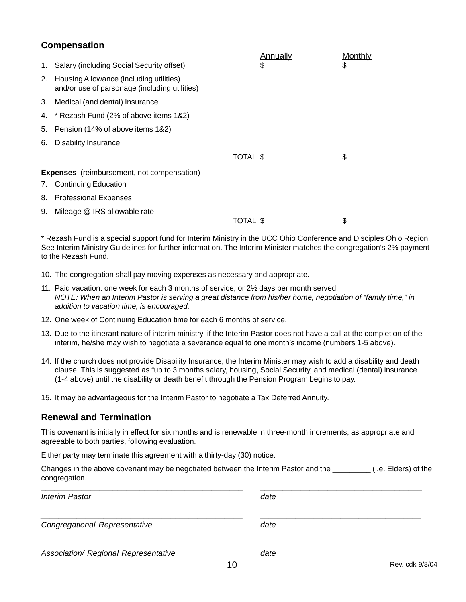#### **Compensation**

|    |                                                                                          | Annually | Monthly |
|----|------------------------------------------------------------------------------------------|----------|---------|
|    | 1. Salary (including Social Security offset)                                             | \$       | \$      |
| 2. | Housing Allowance (including utilities)<br>and/or use of parsonage (including utilities) |          |         |
|    | 3. Medical (and dental) Insurance                                                        |          |         |
|    | 4. * Rezash Fund (2% of above items 1&2)                                                 |          |         |
| 5. | Pension (14% of above items 1&2)                                                         |          |         |
| 6. | Disability Insurance                                                                     |          |         |
|    |                                                                                          | TOTAL \$ | \$      |
|    | <b>Expenses</b> (reimbursement, not compensation)                                        |          |         |
| 7. | <b>Continuing Education</b>                                                              |          |         |
| 8. | <b>Professional Expenses</b>                                                             |          |         |
| 9. | Mileage @ IRS allowable rate                                                             |          |         |
|    |                                                                                          | TOTAL \$ | \$      |

\* Rezash Fund is a special support fund for Interim Ministry in the UCC Ohio Conference and Disciples Ohio Region. See Interim Ministry Guidelines for further information. The Interim Minister matches the congregation's 2% payment to the Rezash Fund.

- 10. The congregation shall pay moving expenses as necessary and appropriate.
- 11. Paid vacation: one week for each 3 months of service, or 2½ days per month served. *NOTE: When an Interim Pastor is serving a great distance from his/her home, negotiation of "family time," in addition to vacation time, is encouraged.*
- 12. One week of Continuing Education time for each 6 months of service.
- 13. Due to the itinerant nature of interim ministry, if the Interim Pastor does not have a call at the completion of the interim, he/she may wish to negotiate a severance equal to one month's income (numbers 1-5 above).
- 14. If the church does not provide Disability Insurance, the Interim Minister may wish to add a disability and death clause. This is suggested as "up to 3 months salary, housing, Social Security, and medical (dental) insurance (1-4 above) until the disability or death benefit through the Pension Program begins to pay.
- 15. It may be advantageous for the Interim Pastor to negotiate a Tax Deferred Annuity.

#### **Renewal and Termination**

This covenant is initially in effect for six months and is renewable in three-month increments, as appropriate and agreeable to both parties, following evaluation.

Either party may terminate this agreement with a thirty-day (30) notice.

| Changes in the above covenant may be negotiated between the Interim Pastor and the | (i.e. Elders) of the |  |
|------------------------------------------------------------------------------------|----------------------|--|
| congregation.                                                                      |                      |  |

| <b>Interim Pastor</b>                |    | date |                 |
|--------------------------------------|----|------|-----------------|
| Congregational Representative        |    | date |                 |
| Association/ Regional Representative |    | date |                 |
|                                      | 10 |      | Rev. cdk 9/8/04 |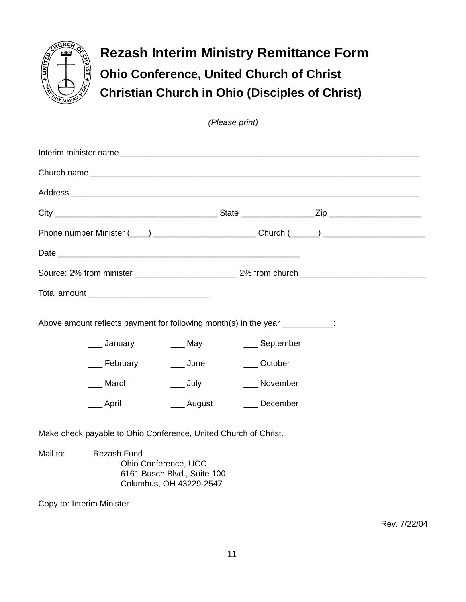

**Rezash Interim Ministry Remittance Form Ohio Conference, United Church of Christ Christian Church in Ohio (Disciples of Christ)**

*(Please print)*

|          |                                                                 |                           | Above amount reflects payment for following month(s) in the year ___________: |  |
|----------|-----------------------------------------------------------------|---------------------------|-------------------------------------------------------------------------------|--|
|          | ____ January ______ May                                         |                           | ___ September                                                                 |  |
|          | ___ February ____ June                                          |                           | ___ October                                                                   |  |
|          | $\_$ March                                                      | $\rule{1em}{0.15mm}$ July | __ November                                                                   |  |
|          | ___ April                                                       |                           | ____ August _____ December                                                    |  |
|          | Make check payable to Ohio Conference, United Church of Christ. |                           |                                                                               |  |
| Mail to: | Rezash Fund                                                     | Ohio Conference, UCC      |                                                                               |  |

Copy to: Interim Minister

Rev. 7/22/04

6161 Busch Blvd., Suite 100 Columbus, OH 43229-2547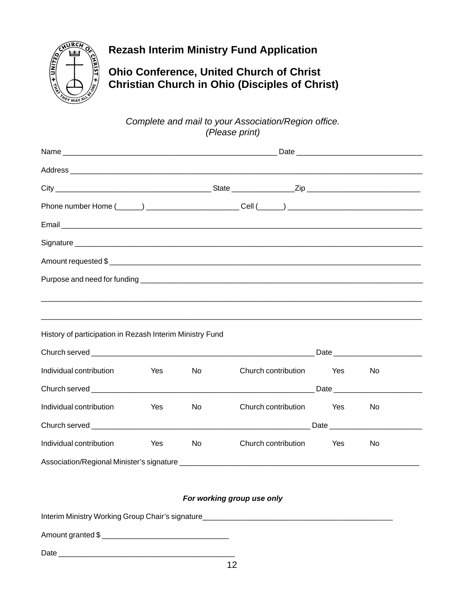

## **Rezash Interim Ministry Fund Application**

**Ohio Conference, United Church of Christ Christian Church in Ohio (Disciples of Christ)**

*Complete and mail to your Association/Region office. (Please print)*

|                                                          |     |           | Email <u>Communications and the communications</u> and continued and continued and continued and continued and continued and continued and continued and continued and continued and continued and continued and continued and cont |     |           |  |
|----------------------------------------------------------|-----|-----------|-------------------------------------------------------------------------------------------------------------------------------------------------------------------------------------------------------------------------------------|-----|-----------|--|
|                                                          |     |           |                                                                                                                                                                                                                                     |     |           |  |
|                                                          |     |           |                                                                                                                                                                                                                                     |     |           |  |
|                                                          |     |           |                                                                                                                                                                                                                                     |     |           |  |
|                                                          |     |           |                                                                                                                                                                                                                                     |     |           |  |
|                                                          |     |           |                                                                                                                                                                                                                                     |     |           |  |
| History of participation in Rezash Interim Ministry Fund |     |           |                                                                                                                                                                                                                                     |     |           |  |
|                                                          |     |           |                                                                                                                                                                                                                                     |     |           |  |
| Individual contribution                                  | Yes | No        | Church contribution                                                                                                                                                                                                                 | Yes | <b>No</b> |  |
|                                                          |     |           |                                                                                                                                                                                                                                     |     |           |  |
| Individual contribution                                  | Yes | No        | Church contribution                                                                                                                                                                                                                 | Yes | No        |  |
|                                                          |     |           | Church served <b>Example 20</b> Date <b>Date Church served Church Church Served Church Served Church Served Church Church Church Church Church Church Church Church Church Church Church Church C</b>                               |     |           |  |
| Individual contribution                                  | Yes | <b>No</b> | Church contribution                                                                                                                                                                                                                 | Yes | No        |  |
|                                                          |     |           |                                                                                                                                                                                                                                     |     |           |  |

#### *For working group use only*

Interim Ministry Working Group Chair's signature\_\_\_\_\_\_\_\_\_\_\_\_\_\_\_\_\_\_\_\_\_\_\_\_\_\_\_\_\_\_\_\_\_

Amount granted \$ \_\_\_\_\_\_\_\_\_\_\_\_\_\_\_\_\_\_\_\_\_\_\_\_\_\_\_\_\_\_

Date \_\_\_\_\_\_\_\_\_\_\_\_\_\_\_\_\_\_\_\_\_\_\_\_\_\_\_\_\_\_\_\_\_\_\_\_\_\_\_\_\_\_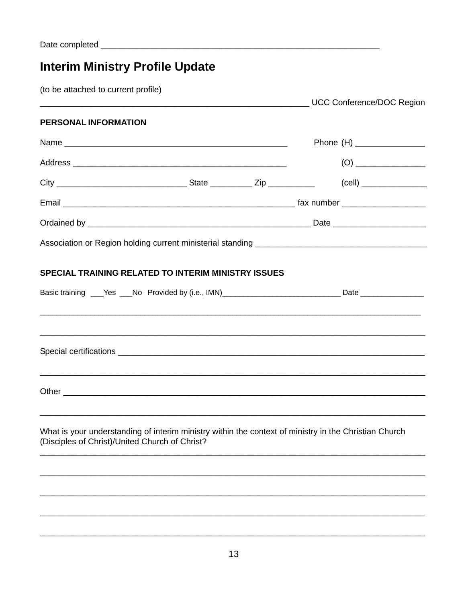# **Interim Ministry Profile Update**

(to be attached to current profile)

|                                                |                                                            | Phone (H) ________________                                                                                                                                                                                                                                                                                                                     |
|------------------------------------------------|------------------------------------------------------------|------------------------------------------------------------------------------------------------------------------------------------------------------------------------------------------------------------------------------------------------------------------------------------------------------------------------------------------------|
|                                                |                                                            |                                                                                                                                                                                                                                                                                                                                                |
|                                                |                                                            |                                                                                                                                                                                                                                                                                                                                                |
|                                                |                                                            |                                                                                                                                                                                                                                                                                                                                                |
|                                                |                                                            |                                                                                                                                                                                                                                                                                                                                                |
|                                                |                                                            |                                                                                                                                                                                                                                                                                                                                                |
|                                                |                                                            |                                                                                                                                                                                                                                                                                                                                                |
|                                                |                                                            |                                                                                                                                                                                                                                                                                                                                                |
|                                                |                                                            |                                                                                                                                                                                                                                                                                                                                                |
|                                                |                                                            |                                                                                                                                                                                                                                                                                                                                                |
|                                                |                                                            |                                                                                                                                                                                                                                                                                                                                                |
| (Disciples of Christ)/United Church of Christ? |                                                            |                                                                                                                                                                                                                                                                                                                                                |
|                                                |                                                            |                                                                                                                                                                                                                                                                                                                                                |
|                                                |                                                            |                                                                                                                                                                                                                                                                                                                                                |
|                                                |                                                            |                                                                                                                                                                                                                                                                                                                                                |
|                                                | <b>SPECIAL TRAINING RELATED TO INTERIM MINISTRY ISSUES</b> | Name<br>Basic training ___Yes ___No Provided by (i.e., IMN)_____________________________Date _______________<br><u> 1989 - Johann Harry Harry Harry Harry Harry Harry Harry Harry Harry Harry Harry Harry Harry Harry Harry Harry</u><br>What is your understanding of interim ministry within the context of ministry in the Christian Church |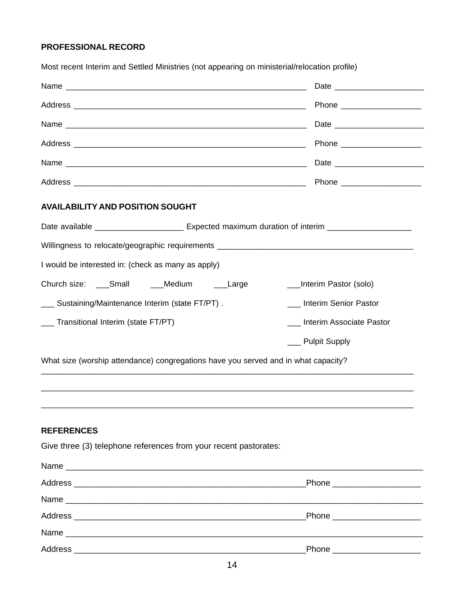#### **PROFESSIONAL RECORD**

|                                                                                                            | Date and the contract of the contract of the contract of the contract of the contract of the contract of the contract of the contract of the contract of the contract of the contract of the contract of the contract of the c |
|------------------------------------------------------------------------------------------------------------|--------------------------------------------------------------------------------------------------------------------------------------------------------------------------------------------------------------------------------|
|                                                                                                            | Phone _______________________                                                                                                                                                                                                  |
|                                                                                                            |                                                                                                                                                                                                                                |
|                                                                                                            | Phone ______________________                                                                                                                                                                                                   |
|                                                                                                            |                                                                                                                                                                                                                                |
|                                                                                                            |                                                                                                                                                                                                                                |
| <b>AVAILABILITY AND POSITION SOUGHT</b>                                                                    |                                                                                                                                                                                                                                |
| Date available ______________________________ Expected maximum duration of interim _______________________ |                                                                                                                                                                                                                                |
|                                                                                                            |                                                                                                                                                                                                                                |
| I would be interested in: (check as many as apply)                                                         |                                                                                                                                                                                                                                |
| Church size: Small Medium<br>Large                                                                         | __Interim Pastor (solo)                                                                                                                                                                                                        |
| __ Sustaining/Maintenance Interim (state FT/PT).                                                           | <b>Interim Senior Pastor</b>                                                                                                                                                                                                   |
| __ Transitional Interim (state FT/PT)                                                                      | Interim Associate Pastor                                                                                                                                                                                                       |
|                                                                                                            | __ Pulpit Supply                                                                                                                                                                                                               |
| What size (worship attendance) congregations have you served and in what capacity?                         |                                                                                                                                                                                                                                |
|                                                                                                            |                                                                                                                                                                                                                                |
|                                                                                                            |                                                                                                                                                                                                                                |
|                                                                                                            |                                                                                                                                                                                                                                |

Most recent Interim and Settled Ministries (not appearing on ministerial/relocation profile)

#### **REFERENCES**

Give three (3) telephone references from your recent pastorates:

| Phone ______________________  |
|-------------------------------|
|                               |
| Phone _______________________ |
|                               |
| Phone _____________________   |